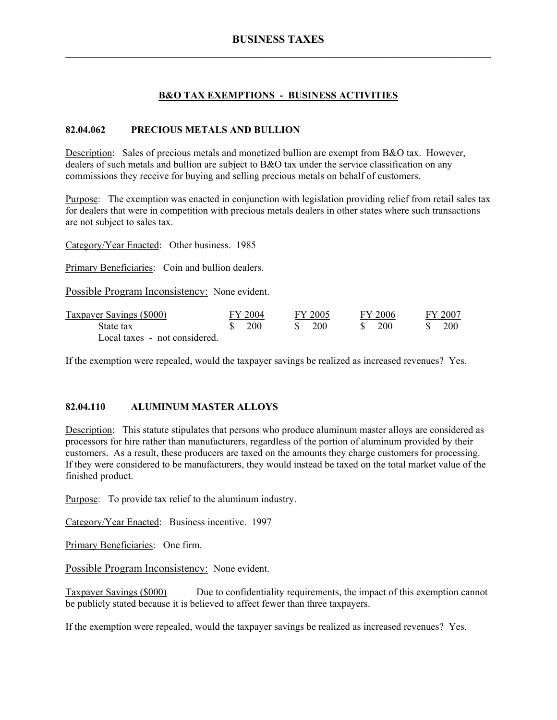# **B&O TAX EXEMPTIONS - BUSINESS ACTIVITIES**

### **82.04.062 PRECIOUS METALS AND BULLION**

Description: Sales of precious metals and monetized bullion are exempt from B&O tax. However, dealers of such metals and bullion are subject to B&O tax under the service classification on any commissions they receive for buying and selling precious metals on behalf of customers.

Purpose: The exemption was enacted in conjunction with legislation providing relief from retail sales tax for dealers that were in competition with precious metals dealers in other states where such transactions are not subject to sales tax.

Category/Year Enacted: Other business. 1985

Primary Beneficiaries: Coin and bullion dealers.

Possible Program Inconsistency: None evident.

| Taxpayer Savings (\$000)      | FY 2004                       | FY 2005 | FY 2006    | FY 2007    |
|-------------------------------|-------------------------------|---------|------------|------------|
| State tax                     | $\frac{\text{S}}{\text{200}}$ | 200     | <b>200</b> | <b>200</b> |
| Local taxes - not considered. |                               |         |            |            |

If the exemption were repealed, would the taxpayer savings be realized as increased revenues? Yes.

# **82.04.110 ALUMINUM MASTER ALLOYS**

Description: This statute stipulates that persons who produce aluminum master alloys are considered as processors for hire rather than manufacturers, regardless of the portion of aluminum provided by their customers. As a result, these producers are taxed on the amounts they charge customers for processing. If they were considered to be manufacturers, they would instead be taxed on the total market value of the finished product.

Purpose: To provide tax relief to the aluminum industry.

Category/Year Enacted: Business incentive. 1997

Primary Beneficiaries: One firm.

Possible Program Inconsistency: None evident.

Taxpayer Savings (\$000) Due to confidentiality requirements, the impact of this exemption cannot be publicly stated because it is believed to affect fewer than three taxpayers.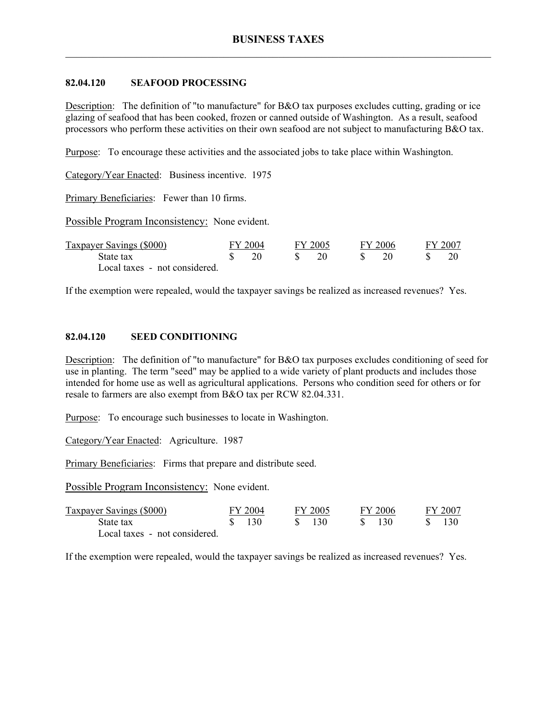## **82.04.120 SEAFOOD PROCESSING**

Description: The definition of "to manufacture" for B&O tax purposes excludes cutting, grading or ice glazing of seafood that has been cooked, frozen or canned outside of Washington. As a result, seafood processors who perform these activities on their own seafood are not subject to manufacturing B&O tax.

Purpose: To encourage these activities and the associated jobs to take place within Washington.

Category/Year Enacted: Business incentive. 1975

Primary Beneficiaries: Fewer than 10 firms.

Possible Program Inconsistency: None evident.

| Taxpayer Savings (\$000)      | FY 2004 | FY 2005 | FY 2006 | FY 2007 |
|-------------------------------|---------|---------|---------|---------|
| State tax                     |         |         |         |         |
| Local taxes - not considered. |         |         |         |         |

If the exemption were repealed, would the taxpayer savings be realized as increased revenues? Yes.

#### **82.04.120 SEED CONDITIONING**

Description: The definition of "to manufacture" for B&O tax purposes excludes conditioning of seed for use in planting. The term "seed" may be applied to a wide variety of plant products and includes those intended for home use as well as agricultural applications. Persons who condition seed for others or for resale to farmers are also exempt from B&O tax per RCW 82.04.331.

Purpose: To encourage such businesses to locate in Washington.

Category/Year Enacted: Agriculture. 1987

Primary Beneficiaries: Firms that prepare and distribute seed.

Possible Program Inconsistency: None evident.

| Taxpayer Savings (\$000)      | FY 2004 | FY 2005 | FY 2006 |  | FY 2007 |
|-------------------------------|---------|---------|---------|--|---------|
| State tax                     | 130     | 130     | -130    |  |         |
| Local taxes - not considered. |         |         |         |  |         |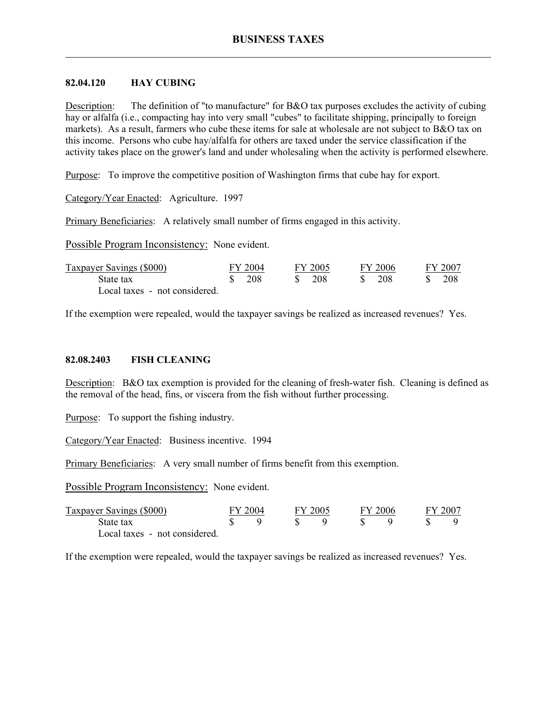#### **82.04.120 HAY CUBING**

Description: The definition of "to manufacture" for B&O tax purposes excludes the activity of cubing hay or alfalfa (i.e., compacting hay into very small "cubes" to facilitate shipping, principally to foreign markets). As a result, farmers who cube these items for sale at wholesale are not subject to B&O tax on this income. Persons who cube hay/alfalfa for others are taxed under the service classification if the activity takes place on the grower's land and under wholesaling when the activity is performed elsewhere.

Purpose: To improve the competitive position of Washington firms that cube hay for export.

Category/Year Enacted: Agriculture. 1997

Primary Beneficiaries: A relatively small number of firms engaged in this activity.

Possible Program Inconsistency: None evident.

| <b>Taxpayer Savings (\$000)</b> | FY 2004 | FY 2005                         | FY 2006 | FY 2007 |
|---------------------------------|---------|---------------------------------|---------|---------|
| State tax                       | \$ 208  | $\frac{\text{S}}{\text{A}}$ 208 | -208    | 208     |
| Local taxes - not considered.   |         |                                 |         |         |

If the exemption were repealed, would the taxpayer savings be realized as increased revenues? Yes.

#### **82.08.2403 FISH CLEANING**

Description: B&O tax exemption is provided for the cleaning of fresh-water fish. Cleaning is defined as the removal of the head, fins, or viscera from the fish without further processing.

Purpose: To support the fishing industry.

Category/Year Enacted: Business incentive. 1994

Primary Beneficiaries: A very small number of firms benefit from this exemption.

Possible Program Inconsistency: None evident.

| Taxpayer Savings (\$000)      | FY 2004 | FY 2005 | FY 2006 |  | FY 2007 |
|-------------------------------|---------|---------|---------|--|---------|
| State tax                     |         |         |         |  |         |
| Local taxes - not considered. |         |         |         |  |         |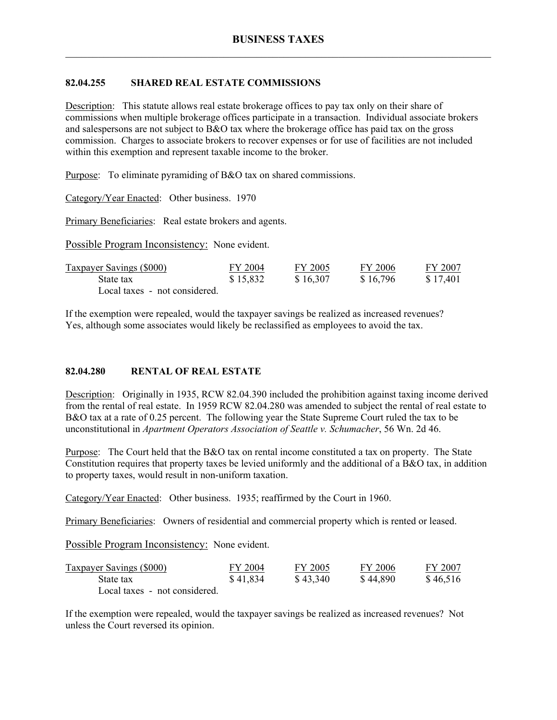# **82.04.255 SHARED REAL ESTATE COMMISSIONS**

Description: This statute allows real estate brokerage offices to pay tax only on their share of commissions when multiple brokerage offices participate in a transaction. Individual associate brokers and salespersons are not subject to B&O tax where the brokerage office has paid tax on the gross commission. Charges to associate brokers to recover expenses or for use of facilities are not included within this exemption and represent taxable income to the broker.

Purpose: To eliminate pyramiding of B&O tax on shared commissions.

Category/Year Enacted: Other business. 1970

Primary Beneficiaries: Real estate brokers and agents.

Possible Program Inconsistency: None evident.

| <b>Taxpayer Savings (\$000)</b> | FY 2004  | FY 2005  | FY 2006  | FY 2007  |
|---------------------------------|----------|----------|----------|----------|
| State tax                       | \$15,832 | \$16,307 | \$16,796 | \$17.401 |
| Local taxes - not considered.   |          |          |          |          |

If the exemption were repealed, would the taxpayer savings be realized as increased revenues? Yes, although some associates would likely be reclassified as employees to avoid the tax.

### **82.04.280 RENTAL OF REAL ESTATE**

Description: Originally in 1935, RCW 82.04.390 included the prohibition against taxing income derived from the rental of real estate. In 1959 RCW 82.04.280 was amended to subject the rental of real estate to B&O tax at a rate of 0.25 percent. The following year the State Supreme Court ruled the tax to be unconstitutional in *Apartment Operators Association of Seattle v. Schumacher*, 56 Wn. 2d 46.

Purpose: The Court held that the B&O tax on rental income constituted a tax on property. The State Constitution requires that property taxes be levied uniformly and the additional of a B&O tax, in addition to property taxes, would result in non-uniform taxation.

Category/Year Enacted: Other business. 1935; reaffirmed by the Court in 1960.

Primary Beneficiaries: Owners of residential and commercial property which is rented or leased.

Possible Program Inconsistency: None evident.

| <b>Taxpayer Savings (\$000)</b> | FY 2004  | FY 2005  | FY 2006  | FY 2007  |
|---------------------------------|----------|----------|----------|----------|
| State tax                       | \$41,834 | \$43,340 | \$44,890 | \$46,516 |
| Local taxes - not considered.   |          |          |          |          |

If the exemption were repealed, would the taxpayer savings be realized as increased revenues? Not unless the Court reversed its opinion.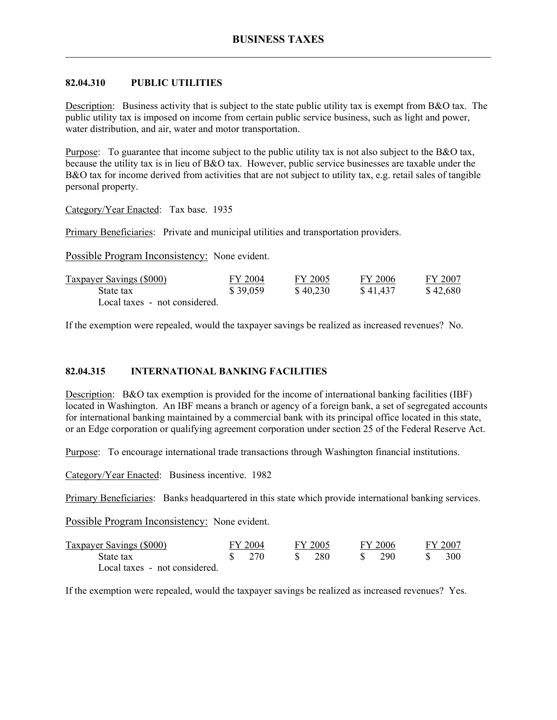# **82.04.310 PUBLIC UTILITIES**

Description: Business activity that is subject to the state public utility tax is exempt from B&O tax. The public utility tax is imposed on income from certain public service business, such as light and power, water distribution, and air, water and motor transportation.

Purpose: To guarantee that income subject to the public utility tax is not also subject to the B&O tax, because the utility tax is in lieu of B&O tax. However, public service businesses are taxable under the B&O tax for income derived from activities that are not subject to utility tax, e.g. retail sales of tangible personal property.

Category/Year Enacted: Tax base. 1935

Primary Beneficiaries: Private and municipal utilities and transportation providers.

Possible Program Inconsistency: None evident.

| <b>Taxpayer Savings (\$000)</b> | FY 2004  | FY 2005  | FY 2006  | FY 2007  |
|---------------------------------|----------|----------|----------|----------|
| State tax                       | \$39,059 | \$40,230 | \$41,437 | \$42,680 |
| Local taxes - not considered.   |          |          |          |          |

If the exemption were repealed, would the taxpayer savings be realized as increased revenues? No.

# **82.04.315 INTERNATIONAL BANKING FACILITIES**

Description: B&O tax exemption is provided for the income of international banking facilities (IBF) located in Washington. An IBF means a branch or agency of a foreign bank, a set of segregated accounts for international banking maintained by a commercial bank with its principal office located in this state, or an Edge corporation or qualifying agreement corporation under section 25 of the Federal Reserve Act.

Purpose: To encourage international trade transactions through Washington financial institutions.

Category/Year Enacted: Business incentive. 1982

Primary Beneficiaries: Banks headquartered in this state which provide international banking services.

Possible Program Inconsistency: None evident.

| <b>Taxpayer Savings (\$000)</b> | FY 2004                         |      | FY 2005 | FY 2006 | FY 2007 |
|---------------------------------|---------------------------------|------|---------|---------|---------|
| State tax                       | $\frac{\text{S}}{\text{S}}$ 270 | -SS- | -280    | 290     | 300.    |
| Local taxes - not considered.   |                                 |      |         |         |         |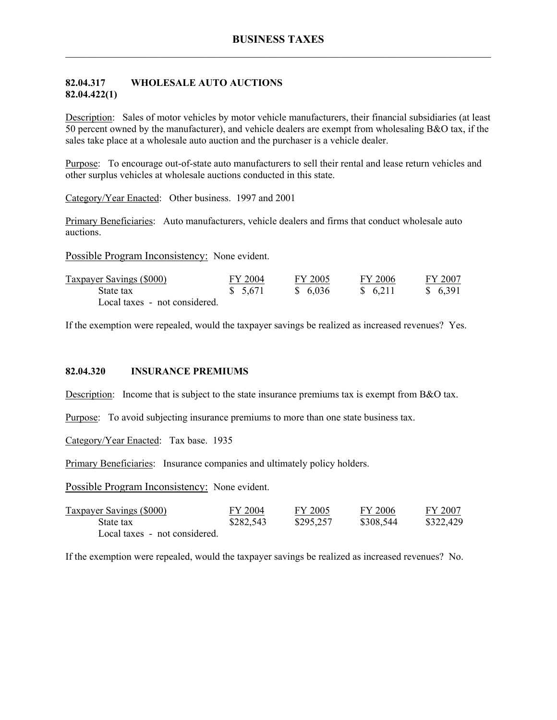## **82.04.317 WHOLESALE AUTO AUCTIONS 82.04.422(1)**

Description: Sales of motor vehicles by motor vehicle manufacturers, their financial subsidiaries (at least 50 percent owned by the manufacturer), and vehicle dealers are exempt from wholesaling B&O tax, if the sales take place at a wholesale auto auction and the purchaser is a vehicle dealer.

Purpose: To encourage out-of-state auto manufacturers to sell their rental and lease return vehicles and other surplus vehicles at wholesale auctions conducted in this state.

Category/Year Enacted: Other business. 1997 and 2001

Primary Beneficiaries: Auto manufacturers, vehicle dealers and firms that conduct wholesale auto auctions.

Possible Program Inconsistency: None evident.

| Taxpayer Savings (\$000)      | FY 2004  | FY 2005  | FY 2006  | FY 2007  |
|-------------------------------|----------|----------|----------|----------|
| State tax                     | \$ 5,671 | \$ 6.036 | \$ 6.211 | \$ 6.391 |
| Local taxes - not considered. |          |          |          |          |

If the exemption were repealed, would the taxpayer savings be realized as increased revenues? Yes.

### **82.04.320 INSURANCE PREMIUMS**

Description: Income that is subject to the state insurance premiums tax is exempt from B&O tax.

Purpose: To avoid subjecting insurance premiums to more than one state business tax.

Category/Year Enacted: Tax base. 1935

Primary Beneficiaries: Insurance companies and ultimately policy holders.

Possible Program Inconsistency: None evident.

| Taxpayer Savings (\$000)      | FY 2004   | FY 2005   | FY 2006   | FY 2007   |
|-------------------------------|-----------|-----------|-----------|-----------|
| State tax                     | \$282,543 | \$295,257 | \$308,544 | \$322,429 |
| Local taxes - not considered. |           |           |           |           |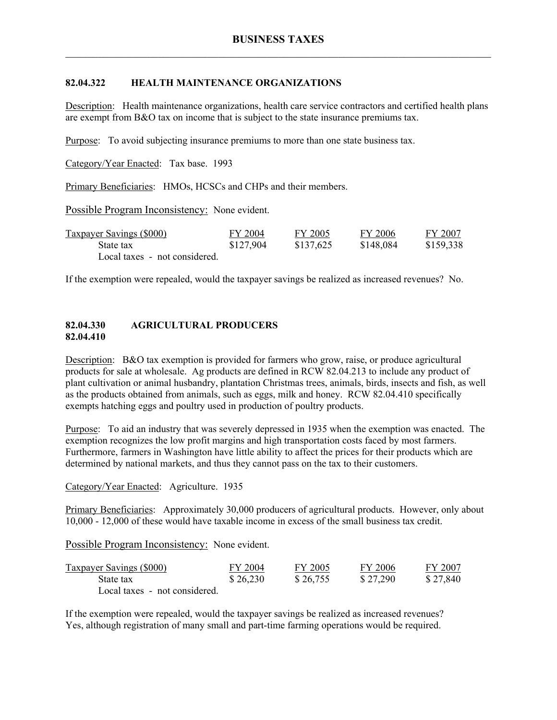# **82.04.322 HEALTH MAINTENANCE ORGANIZATIONS**

Description: Health maintenance organizations, health care service contractors and certified health plans are exempt from B&O tax on income that is subject to the state insurance premiums tax.

Purpose: To avoid subjecting insurance premiums to more than one state business tax.

Category/Year Enacted: Tax base. 1993

Primary Beneficiaries: HMOs, HCSCs and CHPs and their members.

Possible Program Inconsistency: None evident.

| <b>Taxpayer Savings (\$000)</b> | FY 2004   | FY 2005   | FY 2006   | FY 2007   |
|---------------------------------|-----------|-----------|-----------|-----------|
| State tax                       | \$127,904 | \$137,625 | \$148,084 | \$159,338 |
| Local taxes - not considered.   |           |           |           |           |

If the exemption were repealed, would the taxpayer savings be realized as increased revenues? No.

### **82.04.330 AGRICULTURAL PRODUCERS 82.04.410**

Description: B&O tax exemption is provided for farmers who grow, raise, or produce agricultural products for sale at wholesale. Ag products are defined in RCW 82.04.213 to include any product of plant cultivation or animal husbandry, plantation Christmas trees, animals, birds, insects and fish, as well as the products obtained from animals, such as eggs, milk and honey. RCW 82.04.410 specifically exempts hatching eggs and poultry used in production of poultry products.

Purpose: To aid an industry that was severely depressed in 1935 when the exemption was enacted. The exemption recognizes the low profit margins and high transportation costs faced by most farmers. Furthermore, farmers in Washington have little ability to affect the prices for their products which are determined by national markets, and thus they cannot pass on the tax to their customers.

Category/Year Enacted: Agriculture. 1935

Primary Beneficiaries: Approximately 30,000 producers of agricultural products. However, only about 10,000 - 12,000 of these would have taxable income in excess of the small business tax credit.

Possible Program Inconsistency: None evident.

| <b>Taxpayer Savings (\$000)</b> | FY 2004  | FY 2005  | FY 2006  | FY 2007  |
|---------------------------------|----------|----------|----------|----------|
| State tax                       | \$26,230 | \$26,755 | \$27,290 | \$27,840 |
| Local taxes - not considered.   |          |          |          |          |

If the exemption were repealed, would the taxpayer savings be realized as increased revenues? Yes, although registration of many small and part-time farming operations would be required.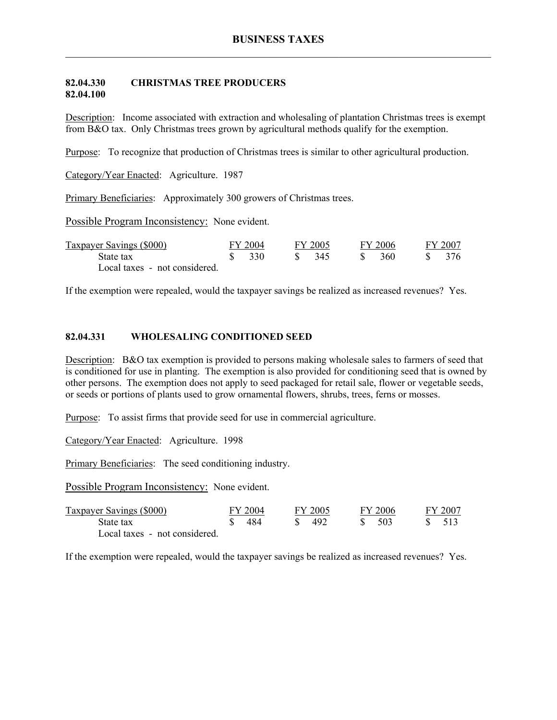#### **82.04.330 CHRISTMAS TREE PRODUCERS 82.04.100**

Description: Income associated with extraction and wholesaling of plantation Christmas trees is exempt from B&O tax. Only Christmas trees grown by agricultural methods qualify for the exemption.

Purpose: To recognize that production of Christmas trees is similar to other agricultural production.

Category/Year Enacted: Agriculture. 1987

Primary Beneficiaries: Approximately 300 growers of Christmas trees.

Possible Program Inconsistency: None evident.

| Taxpayer Savings (\$000)      | FY 2004 |              | FY 2005 | FY 2006 | FY 2007 |
|-------------------------------|---------|--------------|---------|---------|---------|
| State tax                     | 330     | $\mathbf{s}$ | 345     | 360     | 376     |
| Local taxes - not considered. |         |              |         |         |         |

If the exemption were repealed, would the taxpayer savings be realized as increased revenues? Yes.

#### **82.04.331 WHOLESALING CONDITIONED SEED**

Description: B&O tax exemption is provided to persons making wholesale sales to farmers of seed that is conditioned for use in planting. The exemption is also provided for conditioning seed that is owned by other persons. The exemption does not apply to seed packaged for retail sale, flower or vegetable seeds, or seeds or portions of plants used to grow ornamental flowers, shrubs, trees, ferns or mosses.

Purpose: To assist firms that provide seed for use in commercial agriculture.

Category/Year Enacted: Agriculture. 1998

Primary Beneficiaries: The seed conditioning industry.

Possible Program Inconsistency: None evident.

| Taxpayer Savings (\$000)      | FY 2004 | FY 2005 | FY 2006 |  | FY 2007 |
|-------------------------------|---------|---------|---------|--|---------|
| State tax                     | 484     | 492     | -503    |  |         |
| Local taxes - not considered. |         |         |         |  |         |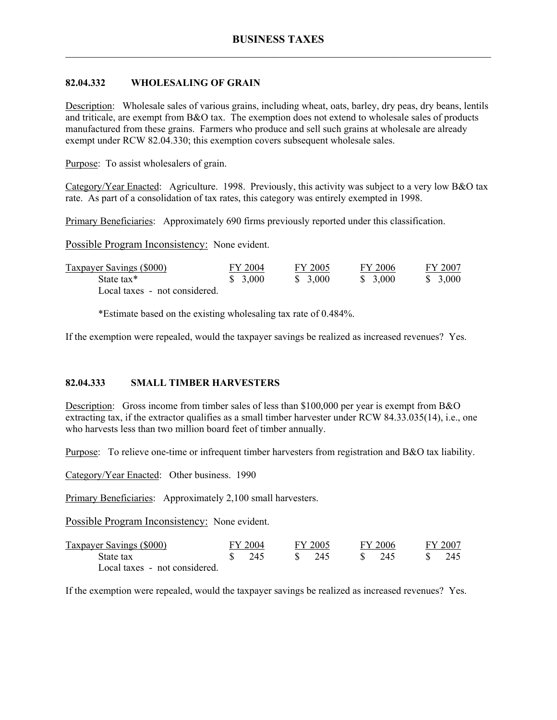# **82.04.332 WHOLESALING OF GRAIN**

Description: Wholesale sales of various grains, including wheat, oats, barley, dry peas, dry beans, lentils and triticale, are exempt from B&O tax. The exemption does not extend to wholesale sales of products manufactured from these grains. Farmers who produce and sell such grains at wholesale are already exempt under RCW 82.04.330; this exemption covers subsequent wholesale sales.

Purpose: To assist wholesalers of grain.

Category/Year Enacted: Agriculture. 1998. Previously, this activity was subject to a very low B&O tax rate. As part of a consolidation of tax rates, this category was entirely exempted in 1998.

Primary Beneficiaries: Approximately 690 firms previously reported under this classification.

Possible Program Inconsistency: None evident.

| <b>Taxpayer Savings (\$000)</b> | FY 2004 | FY 2005 | FY 2006  | FY 2007 |
|---------------------------------|---------|---------|----------|---------|
| State tax*                      | \$3,000 | \$3,000 | \$ 3,000 | \$3,000 |
| Local taxes - not considered.   |         |         |          |         |

\*Estimate based on the existing wholesaling tax rate of 0.484%.

If the exemption were repealed, would the taxpayer savings be realized as increased revenues? Yes.

# **82.04.333 SMALL TIMBER HARVESTERS**

Description: Gross income from timber sales of less than \$100,000 per year is exempt from B&O extracting tax, if the extractor qualifies as a small timber harvester under RCW 84.33.035(14), i.e., one who harvests less than two million board feet of timber annually.

Purpose: To relieve one-time or infrequent timber harvesters from registration and B&O tax liability.

Category/Year Enacted: Other business. 1990

Primary Beneficiaries: Approximately 2,100 small harvesters.

Possible Program Inconsistency: None evident.

| Taxpayer Savings (\$000)      | FY 2004         | FY 2005 | FY 2006 | FY 2007 |
|-------------------------------|-----------------|---------|---------|---------|
| State tax                     | $\frac{1}{245}$ | S 245   | - 245   | 245     |
| Local taxes - not considered. |                 |         |         |         |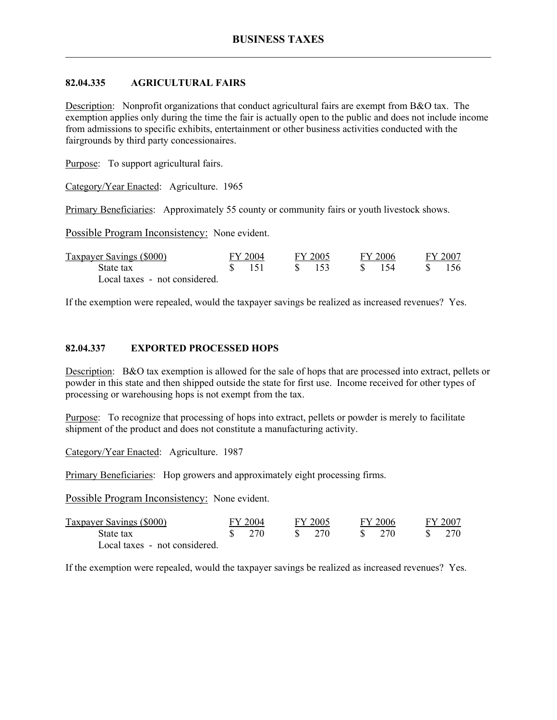# **82.04.335 AGRICULTURAL FAIRS**

Description: Nonprofit organizations that conduct agricultural fairs are exempt from B&O tax. The exemption applies only during the time the fair is actually open to the public and does not include income from admissions to specific exhibits, entertainment or other business activities conducted with the fairgrounds by third party concessionaires.

Purpose: To support agricultural fairs.

Category/Year Enacted: Agriculture. 1965

Primary Beneficiaries: Approximately 55 county or community fairs or youth livestock shows.

Possible Program Inconsistency: None evident.

| Taxpayer Savings (\$000)      | FY 2004         |               | FY 2005 | FY 2006 | FY 2007 |
|-------------------------------|-----------------|---------------|---------|---------|---------|
| State tax                     | $\frac{151}{2}$ | $\mathcal{S}$ | - 153   | -154    | 156.    |
| Local taxes - not considered. |                 |               |         |         |         |

If the exemption were repealed, would the taxpayer savings be realized as increased revenues? Yes.

# **82.04.337 EXPORTED PROCESSED HOPS**

Description: B&O tax exemption is allowed for the sale of hops that are processed into extract, pellets or powder in this state and then shipped outside the state for first use. Income received for other types of processing or warehousing hops is not exempt from the tax.

Purpose: To recognize that processing of hops into extract, pellets or powder is merely to facilitate shipment of the product and does not constitute a manufacturing activity.

Category/Year Enacted: Agriculture. 1987

Primary Beneficiaries: Hop growers and approximately eight processing firms.

Possible Program Inconsistency: None evident.

| Taxpayer Savings (\$000)      | FY 2004 |       | FY 2005 |  | FY 2006 |  | FY 2007 |  |
|-------------------------------|---------|-------|---------|--|---------|--|---------|--|
| State tax                     |         | \$770 | - 270   |  | - 270   |  |         |  |
| Local taxes - not considered. |         |       |         |  |         |  |         |  |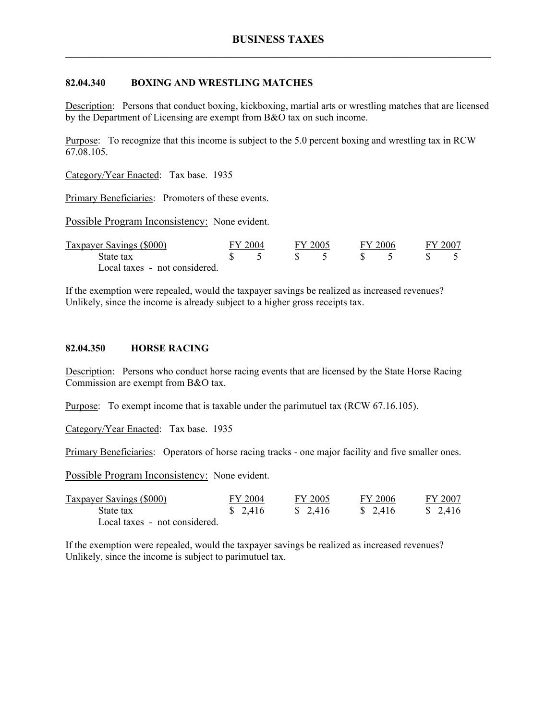## **82.04.340 BOXING AND WRESTLING MATCHES**

Description: Persons that conduct boxing, kickboxing, martial arts or wrestling matches that are licensed by the Department of Licensing are exempt from B&O tax on such income.

Purpose: To recognize that this income is subject to the 5.0 percent boxing and wrestling tax in RCW 67.08.105.

Category/Year Enacted: Tax base. 1935

Primary Beneficiaries: Promoters of these events.

Possible Program Inconsistency: None evident.

| Taxpayer Savings (\$000)      | FY 2004 | FY 2005 |  | FY 2006 | FY 2007 |  |
|-------------------------------|---------|---------|--|---------|---------|--|
| State tax                     |         |         |  |         |         |  |
| Local taxes - not considered. |         |         |  |         |         |  |

If the exemption were repealed, would the taxpayer savings be realized as increased revenues? Unlikely, since the income is already subject to a higher gross receipts tax.

#### **82.04.350 HORSE RACING**

Description: Persons who conduct horse racing events that are licensed by the State Horse Racing Commission are exempt from B&O tax.

Purpose: To exempt income that is taxable under the parimutuel tax (RCW 67.16.105).

Category/Year Enacted: Tax base. 1935

Primary Beneficiaries: Operators of horse racing tracks - one major facility and five smaller ones.

Possible Program Inconsistency: None evident.

| Taxpayer Savings (\$000)      | FY 2004 | FY 2005 | FY 2006  | FY 2007 |
|-------------------------------|---------|---------|----------|---------|
| State tax                     | \$2,416 | \$2,416 | \$ 2.416 | \$2,416 |
| Local taxes - not considered. |         |         |          |         |

If the exemption were repealed, would the taxpayer savings be realized as increased revenues? Unlikely, since the income is subject to parimutuel tax.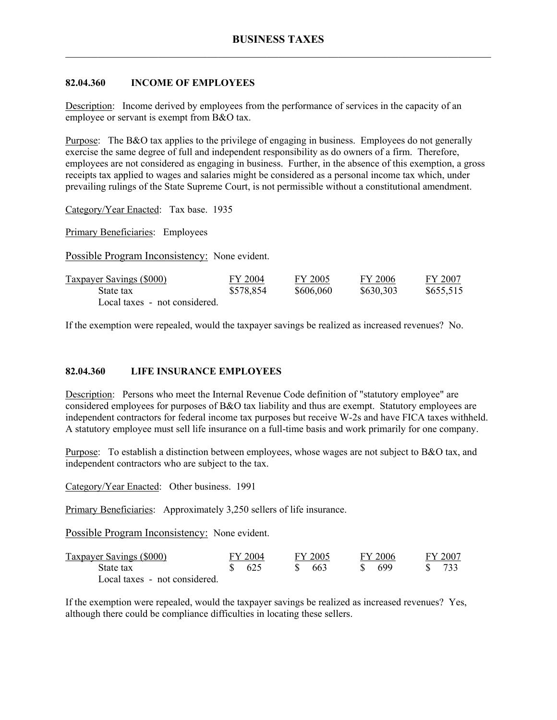## **82.04.360 INCOME OF EMPLOYEES**

Description: Income derived by employees from the performance of services in the capacity of an employee or servant is exempt from B&O tax.

Purpose: The B&O tax applies to the privilege of engaging in business. Employees do not generally exercise the same degree of full and independent responsibility as do owners of a firm. Therefore, employees are not considered as engaging in business. Further, in the absence of this exemption, a gross receipts tax applied to wages and salaries might be considered as a personal income tax which, under prevailing rulings of the State Supreme Court, is not permissible without a constitutional amendment.

Category/Year Enacted: Tax base. 1935

Primary Beneficiaries: Employees

Possible Program Inconsistency: None evident.

| Taxpayer Savings (\$000)      | FY 2004   | FY 2005   | FY 2006   | FY 2007   |
|-------------------------------|-----------|-----------|-----------|-----------|
| State tax                     | \$578,854 | \$606,060 | \$630,303 | \$655,515 |
| Local taxes - not considered. |           |           |           |           |

If the exemption were repealed, would the taxpayer savings be realized as increased revenues? No.

### **82.04.360 LIFE INSURANCE EMPLOYEES**

Description: Persons who meet the Internal Revenue Code definition of "statutory employee" are considered employees for purposes of B&O tax liability and thus are exempt. Statutory employees are independent contractors for federal income tax purposes but receive W-2s and have FICA taxes withheld. A statutory employee must sell life insurance on a full-time basis and work primarily for one company.

Purpose: To establish a distinction between employees, whose wages are not subject to B&O tax, and independent contractors who are subject to the tax.

Category/Year Enacted: Other business. 1991

Primary Beneficiaries: Approximately 3,250 sellers of life insurance.

Possible Program Inconsistency: None evident.

| Taxpayer Savings (\$000)      | FY 2004           | FY 2005 | FY 2006 |  | FY 2007 |
|-------------------------------|-------------------|---------|---------|--|---------|
| State tax                     | $\frac{1}{2}$ 625 | 663     | 699     |  | 733     |
| Local taxes - not considered. |                   |         |         |  |         |

If the exemption were repealed, would the taxpayer savings be realized as increased revenues? Yes, although there could be compliance difficulties in locating these sellers.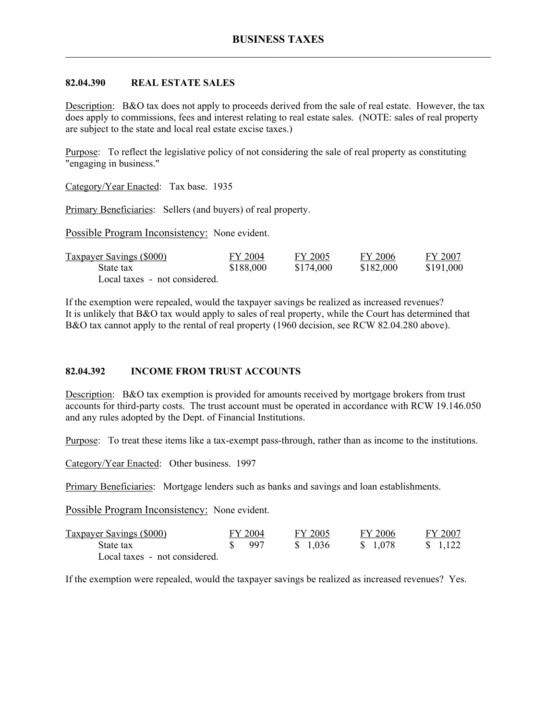### **82.04.390 REAL ESTATE SALES**

Description: B&O tax does not apply to proceeds derived from the sale of real estate. However, the tax does apply to commissions, fees and interest relating to real estate sales. (NOTE: sales of real property are subject to the state and local real estate excise taxes.)

Purpose: To reflect the legislative policy of not considering the sale of real property as constituting "engaging in business."

Category/Year Enacted: Tax base. 1935

Primary Beneficiaries: Sellers (and buyers) of real property.

Possible Program Inconsistency: None evident.

| <b>Taxpayer Savings (\$000)</b> | FY 2004   | FY 2005   | FY 2006   | FY 2007   |
|---------------------------------|-----------|-----------|-----------|-----------|
| State tax                       | \$188,000 | \$174,000 | \$182,000 | \$191,000 |
| Local taxes - not considered.   |           |           |           |           |

If the exemption were repealed, would the taxpayer savings be realized as increased revenues? It is unlikely that B&O tax would apply to sales of real property, while the Court has determined that B&O tax cannot apply to the rental of real property (1960 decision, see RCW 82.04.280 above).

#### **82.04.392 INCOME FROM TRUST ACCOUNTS**

Description: B&O tax exemption is provided for amounts received by mortgage brokers from trust accounts for third-party costs. The trust account must be operated in accordance with RCW 19.146.050 and any rules adopted by the Dept. of Financial Institutions.

Purpose: To treat these items like a tax-exempt pass-through, rather than as income to the institutions.

Category/Year Enacted: Other business. 1997

Primary Beneficiaries: Mortgage lenders such as banks and savings and loan establishments.

Possible Program Inconsistency: None evident.

| <b>Taxpayer Savings (\$000)</b> | FY 2004           | FY 2005  | FY 2006  | FY 2007  |
|---------------------------------|-------------------|----------|----------|----------|
| State tax                       | $\frac{1}{2}$ 997 | \$ 1.036 | \$ 1.078 | \$ 1.122 |
| Local taxes - not considered.   |                   |          |          |          |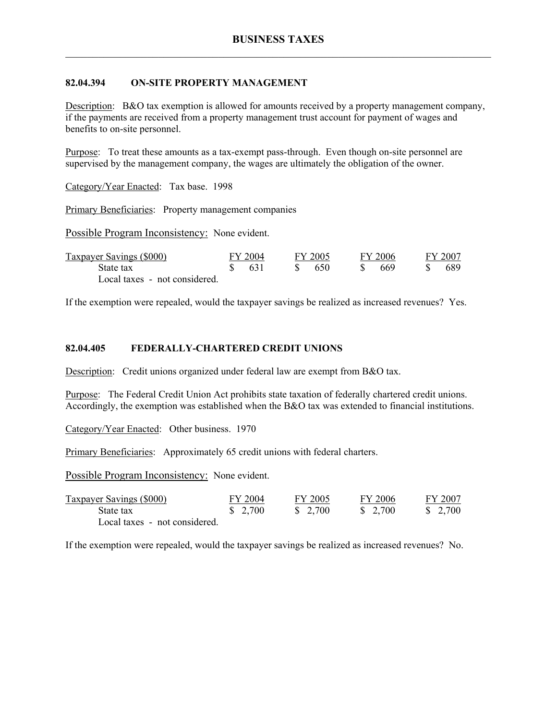## **82.04.394 ON-SITE PROPERTY MANAGEMENT**

Description: B&O tax exemption is allowed for amounts received by a property management company, if the payments are received from a property management trust account for payment of wages and benefits to on-site personnel.

Purpose: To treat these amounts as a tax-exempt pass-through. Even though on-site personnel are supervised by the management company, the wages are ultimately the obligation of the owner.

Category/Year Enacted: Tax base. 1998

Primary Beneficiaries: Property management companies

Possible Program Inconsistency: None evident.

| Taxpayer Savings (\$000)      | FY 2004 | FY 2005 | FY 2006 | FY 2007 |
|-------------------------------|---------|---------|---------|---------|
| State tax                     | -631    | -650    | 669     | 689     |
| Local taxes - not considered. |         |         |         |         |

If the exemption were repealed, would the taxpayer savings be realized as increased revenues? Yes.

#### **82.04.405 FEDERALLY-CHARTERED CREDIT UNIONS**

Description: Credit unions organized under federal law are exempt from B&O tax.

Purpose: The Federal Credit Union Act prohibits state taxation of federally chartered credit unions. Accordingly, the exemption was established when the B&O tax was extended to financial institutions.

Category/Year Enacted: Other business. 1970

Primary Beneficiaries: Approximately 65 credit unions with federal charters.

Possible Program Inconsistency: None evident.

| Taxpayer Savings (\$000)      | FY 2004 | FY 2005 | FY 2006 | FY 2007 |
|-------------------------------|---------|---------|---------|---------|
| State tax                     | \$2,700 | \$2,700 | \$2,700 | \$2,700 |
| Local taxes - not considered. |         |         |         |         |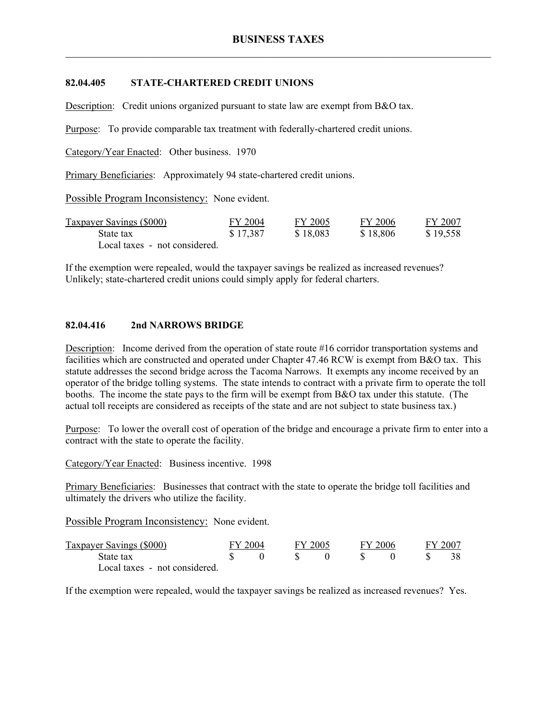## **82.04.405 STATE-CHARTERED CREDIT UNIONS**

Description: Credit unions organized pursuant to state law are exempt from B&O tax.

Purpose: To provide comparable tax treatment with federally-chartered credit unions.

Category/Year Enacted: Other business. 1970

Primary Beneficiaries: Approximately 94 state-chartered credit unions.

Possible Program Inconsistency: None evident.

| <b>Taxpayer Savings (\$000)</b> | FY 2004  | FY 2005  | FY 2006  | FY 2007  |
|---------------------------------|----------|----------|----------|----------|
| State tax                       | \$17,387 | \$18,083 | \$18,806 | \$19,558 |
| Local taxes - not considered.   |          |          |          |          |

If the exemption were repealed, would the taxpayer savings be realized as increased revenues? Unlikely; state-chartered credit unions could simply apply for federal charters.

### **82.04.416 2nd NARROWS BRIDGE**

Description: Income derived from the operation of state route #16 corridor transportation systems and facilities which are constructed and operated under Chapter 47.46 RCW is exempt from B&O tax. This statute addresses the second bridge across the Tacoma Narrows. It exempts any income received by an operator of the bridge tolling systems. The state intends to contract with a private firm to operate the toll booths. The income the state pays to the firm will be exempt from B&O tax under this statute. (The actual toll receipts are considered as receipts of the state and are not subject to state business tax.)

Purpose: To lower the overall cost of operation of the bridge and encourage a private firm to enter into a contract with the state to operate the facility.

Category/Year Enacted: Business incentive. 1998

Primary Beneficiaries: Businesses that contract with the state to operate the bridge toll facilities and ultimately the drivers who utilize the facility.

Possible Program Inconsistency: None evident.

| Taxpayer Savings (\$000)      | FY 2004 | FY 2005 | FY 2006 |  | FY 2007 |
|-------------------------------|---------|---------|---------|--|---------|
| State tax                     |         |         |         |  | 38      |
| Local taxes - not considered. |         |         |         |  |         |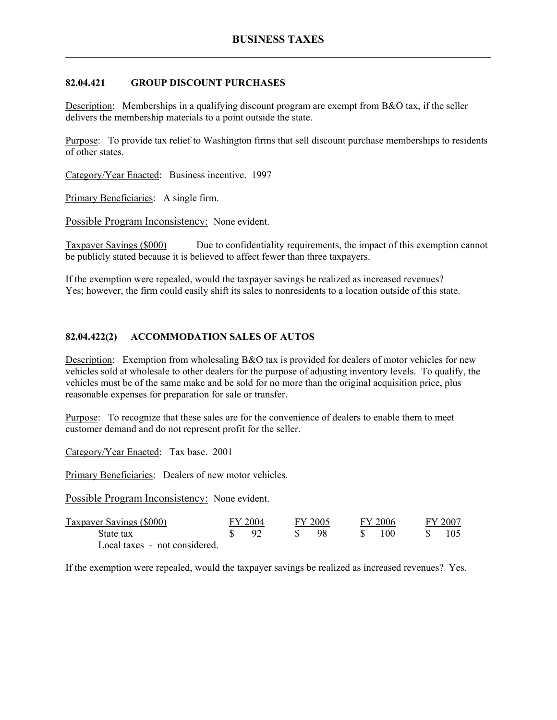# **82.04.421 GROUP DISCOUNT PURCHASES**

Description: Memberships in a qualifying discount program are exempt from B&O tax, if the seller delivers the membership materials to a point outside the state.

Purpose: To provide tax relief to Washington firms that sell discount purchase memberships to residents of other states.

Category/Year Enacted: Business incentive. 1997

Primary Beneficiaries: A single firm.

Possible Program Inconsistency: None evident.

Taxpayer Savings (\$000) Due to confidentiality requirements, the impact of this exemption cannot be publicly stated because it is believed to affect fewer than three taxpayers.

If the exemption were repealed, would the taxpayer savings be realized as increased revenues? Yes; however, the firm could easily shift its sales to nonresidents to a location outside of this state.

# **82.04.422(2) ACCOMMODATION SALES OF AUTOS**

Description: Exemption from wholesaling B&O tax is provided for dealers of motor vehicles for new vehicles sold at wholesale to other dealers for the purpose of adjusting inventory levels. To qualify, the vehicles must be of the same make and be sold for no more than the original acquisition price, plus reasonable expenses for preparation for sale or transfer.

Purpose: To recognize that these sales are for the convenience of dealers to enable them to meet customer demand and do not represent profit for the seller.

Category/Year Enacted: Tax base. 2001

Primary Beneficiaries: Dealers of new motor vehicles.

Possible Program Inconsistency: None evident.

| Taxpayer Savings (\$000)      | FY 2004 | FY 2005 | FY 2006 | FY 2007 |
|-------------------------------|---------|---------|---------|---------|
| State tax                     | റ       | -98     | 100     |         |
| Local taxes - not considered. |         |         |         |         |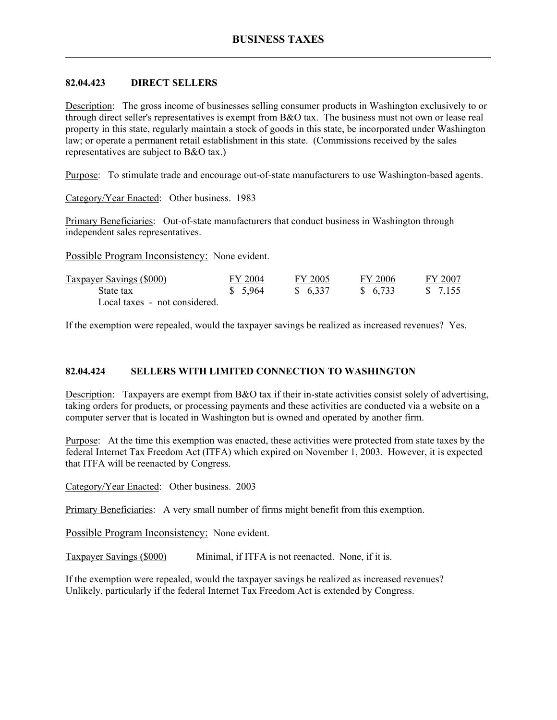# **82.04.423 DIRECT SELLERS**

Description: The gross income of businesses selling consumer products in Washington exclusively to or through direct seller's representatives is exempt from B&O tax. The business must not own or lease real property in this state, regularly maintain a stock of goods in this state, be incorporated under Washington law; or operate a permanent retail establishment in this state. (Commissions received by the sales representatives are subject to B&O tax.)

Purpose: To stimulate trade and encourage out-of-state manufacturers to use Washington-based agents.

Category/Year Enacted: Other business. 1983

Primary Beneficiaries: Out-of-state manufacturers that conduct business in Washington through independent sales representatives.

Possible Program Inconsistency: None evident.

| Taxpayer Savings (\$000)      | FY 2004 | FY 2005  | FY 2006 | FY 2007            |
|-------------------------------|---------|----------|---------|--------------------|
| State tax                     | \$5,964 | \$ 6.337 | \$6,733 | $\frac{\$}{7.155}$ |
| Local taxes - not considered. |         |          |         |                    |

If the exemption were repealed, would the taxpayer savings be realized as increased revenues? Yes.

### **82.04.424 SELLERS WITH LIMITED CONNECTION TO WASHINGTON**

Description: Taxpayers are exempt from B&O tax if their in-state activities consist solely of advertising, taking orders for products, or processing payments and these activities are conducted via a website on a computer server that is located in Washington but is owned and operated by another firm.

Purpose: At the time this exemption was enacted, these activities were protected from state taxes by the federal Internet Tax Freedom Act (ITFA) which expired on November 1, 2003. However, it is expected that ITFA will be reenacted by Congress.

Category/Year Enacted: Other business. 2003

Primary Beneficiaries: A very small number of firms might benefit from this exemption.

Possible Program Inconsistency: None evident.

Taxpayer Savings (\$000) Minimal, if ITFA is not reenacted. None, if it is.

If the exemption were repealed, would the taxpayer savings be realized as increased revenues? Unlikely, particularly if the federal Internet Tax Freedom Act is extended by Congress.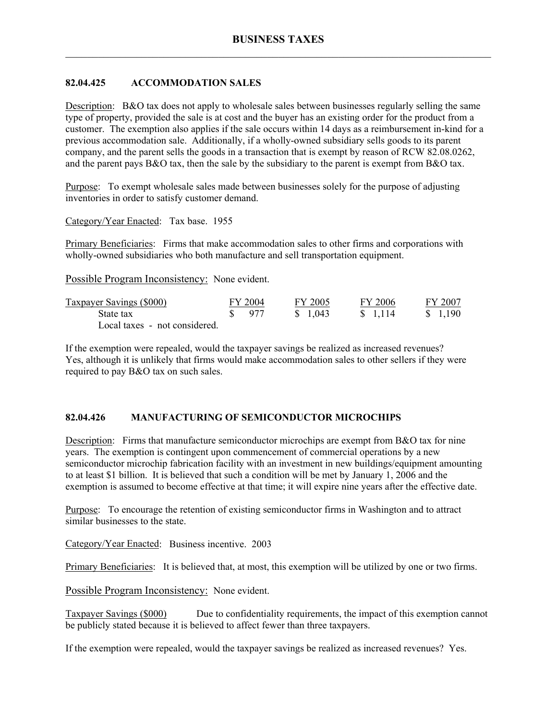# **82.04.425 ACCOMMODATION SALES**

Description: B&O tax does not apply to wholesale sales between businesses regularly selling the same type of property, provided the sale is at cost and the buyer has an existing order for the product from a customer. The exemption also applies if the sale occurs within 14 days as a reimbursement in-kind for a previous accommodation sale. Additionally, if a wholly-owned subsidiary sells goods to its parent company, and the parent sells the goods in a transaction that is exempt by reason of RCW 82.08.0262, and the parent pays  $B&O$  tax, then the sale by the subsidiary to the parent is exempt from  $B&O$  tax.

Purpose: To exempt wholesale sales made between businesses solely for the purpose of adjusting inventories in order to satisfy customer demand.

Category/Year Enacted: Tax base. 1955

Primary Beneficiaries: Firms that make accommodation sales to other firms and corporations with wholly-owned subsidiaries who both manufacture and sell transportation equipment.

Possible Program Inconsistency: None evident.

| Taxpayer Savings (\$000)      | FY 2004           | FY 2005  | FY 2006  | FY 2007 |
|-------------------------------|-------------------|----------|----------|---------|
| State tax                     | $\frac{1}{2}$ 977 | \$ 1.043 | \$ 1.114 | \$1,190 |
| Local taxes - not considered. |                   |          |          |         |

If the exemption were repealed, would the taxpayer savings be realized as increased revenues? Yes, although it is unlikely that firms would make accommodation sales to other sellers if they were required to pay B&O tax on such sales.

## **82.04.426 MANUFACTURING OF SEMICONDUCTOR MICROCHIPS**

Description: Firms that manufacture semiconductor microchips are exempt from B&O tax for nine years. The exemption is contingent upon commencement of commercial operations by a new semiconductor microchip fabrication facility with an investment in new buildings/equipment amounting to at least \$1 billion. It is believed that such a condition will be met by January 1, 2006 and the exemption is assumed to become effective at that time; it will expire nine years after the effective date.

Purpose: To encourage the retention of existing semiconductor firms in Washington and to attract similar businesses to the state.

Category/Year Enacted: Business incentive. 2003

Primary Beneficiaries: It is believed that, at most, this exemption will be utilized by one or two firms.

Possible Program Inconsistency: None evident.

Taxpayer Savings (\$000) Due to confidentiality requirements, the impact of this exemption cannot be publicly stated because it is believed to affect fewer than three taxpayers.